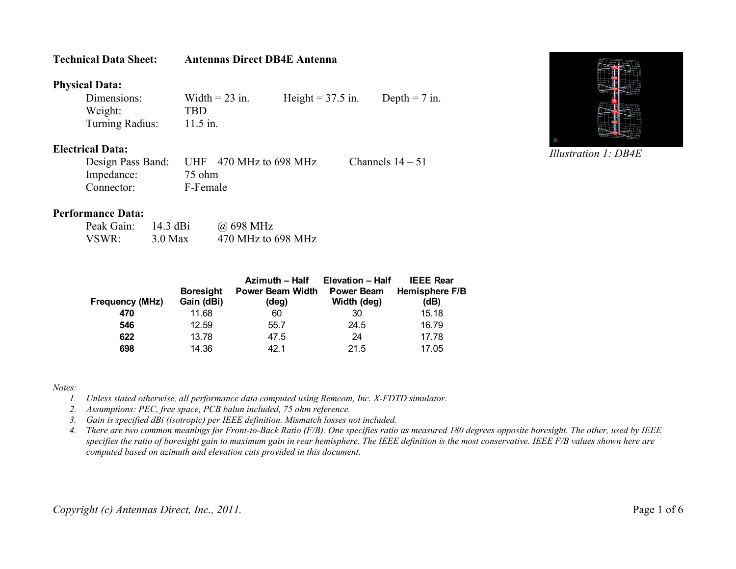## **Technical Data Sheet: Antennas Direct DB4E Antenna**

## **Physical Data:**

| Dimensions:     | Width $= 23$ in. | Height = $37.5$ in. | Depth $= 7$ in. |
|-----------------|------------------|---------------------|-----------------|
| Weight:         | TBD              |                     |                 |
| Turning Radius: | $11.5$ in.       |                     |                 |

## **Electrical Data:**

| Design Pass Band: | UHF $470$ MHz to 698 MHz | Channels $14-51$ |
|-------------------|--------------------------|------------------|
| Impedance:        | 75 ohm                   |                  |
| Connector:        | F-Female                 |                  |

## **Performance Data:**

| Peak Gain: | 14.3 dBi  | @ 698 MHz          |
|------------|-----------|--------------------|
| VSWR:      | $3.0$ Max | 470 MHz to 698 MHz |

|                        | <b>Boresight</b> | Azimuth - Half<br><b>Power Beam Width</b> | <b>Elevation - Half</b><br><b>Power Beam</b> | <b>IEEE Rear</b><br>Hemisphere F/B |
|------------------------|------------------|-------------------------------------------|----------------------------------------------|------------------------------------|
| <b>Frequency (MHz)</b> | Gain (dBi)       | (deg)                                     | Width (deg)                                  | (dB)                               |
| 470                    | 11.68            | 60                                        | 30                                           | 15.18                              |
| 546                    | 12.59            | 55.7                                      | 24.5                                         | 16.79                              |
| 622                    | 13.78            | 47.5                                      | 24                                           | 17.78                              |
| 698                    | 14.36            | 42 1                                      | 21.5                                         | 17.05                              |

*Notes:*

- *1. Unless stated otherwise, all performance data computed using Remcom, Inc. X-FDTD simulator.*
- *2. Assumptions: PEC, free space, PCB balun included, 75 ohm reference.*
- *3. Gain is specified dBi (isotropic) per IEEE definition. Mismatch losses not included.*
- *4. There are two common meanings for Front-to-Back Ratio (F/B). One specifies ratio as measured 180 degrees opposite boresight. The other, used by IEEE specifies the ratio of boresight gain to maximum gain in rear hemisphere. The IEEE definition is the most conservative. IEEE F/B values shown here are computed based on azimuth and elevation cuts provided in this document.*



*Illustration 1: DB4E*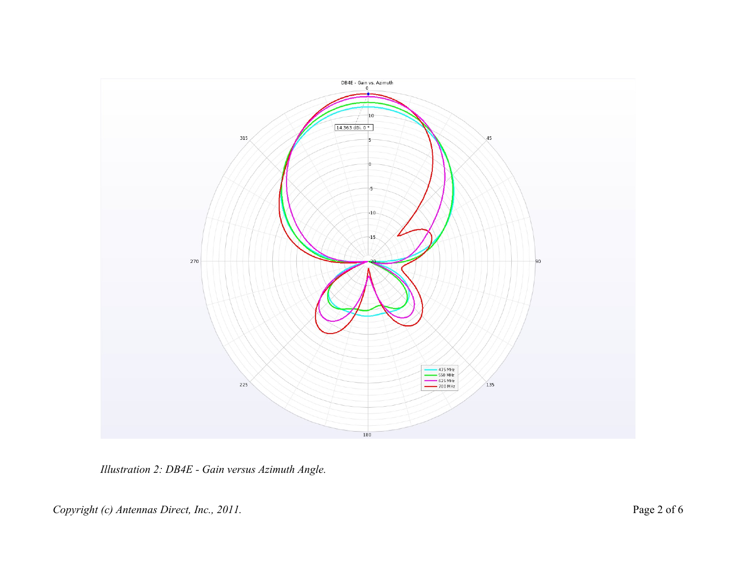

*Illustration 2: DB4E - Gain versus Azimuth Angle.*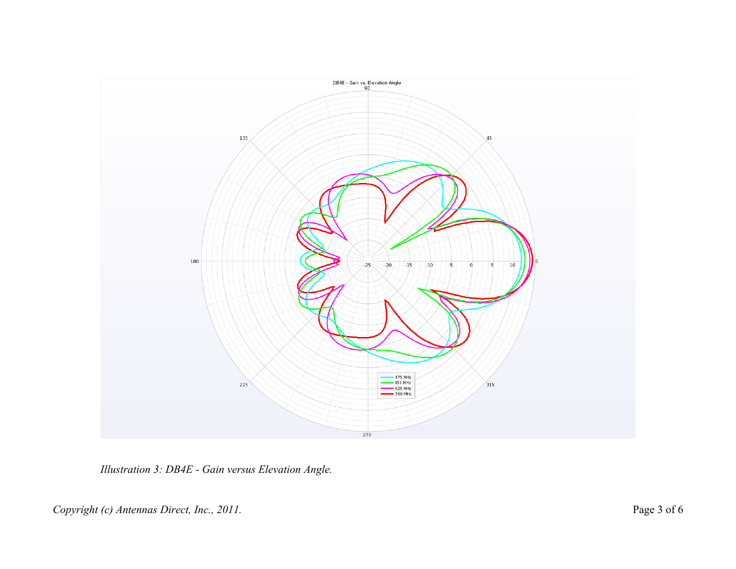

*Illustration 3: DB4E - Gain versus Elevation Angle.*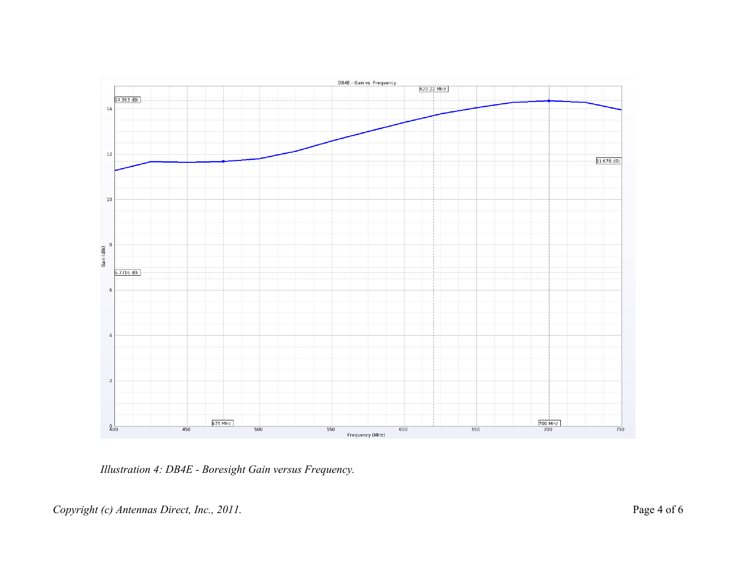

*Illustration 4: DB4E - Boresight Gain versus Frequency.*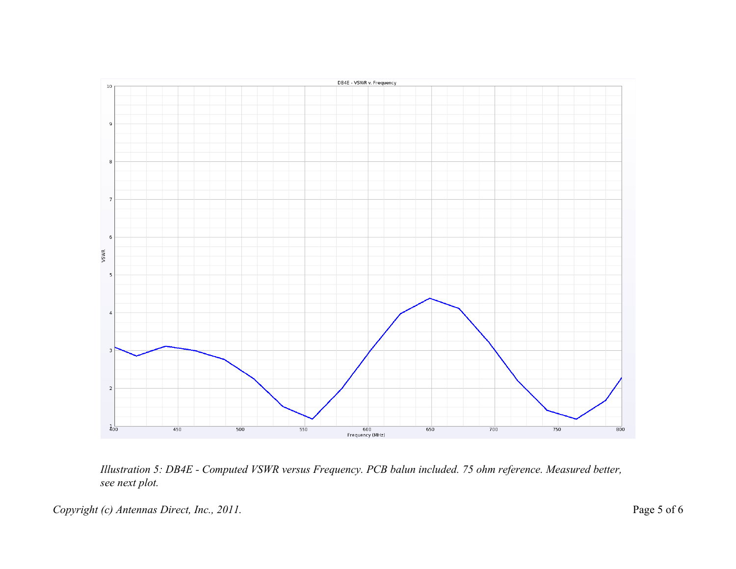

*Illustration 5: DB4E - Computed VSWR versus Frequency. PCB balun included. 75 ohm reference. Measured better, see next plot.*